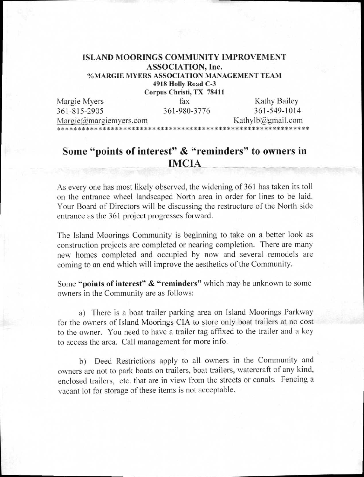## **ISLAND MOORINGS COMMUNITY IMPROVEMENT ASSOCIATION, Inc. %MARGIE MYERS ASSOCIATION MANAGEMENT TEAM**

**4918 Holly Road C-3** 

**Corpus Christi, TX 78411** 

| Margie Myers                                  | fax          | Kathy Bailey          |
|-----------------------------------------------|--------------|-----------------------|
| 361-815-2905                                  | 361-980-3776 | 361-549-1014          |
| $\text{Margie}(\hat{\omega})$ margiemyers.com |              | Kathylb $@g$ mail.com |
|                                               |              |                       |

## **Some "points of interest" & "reminders" to owners in IMCIA**

As every one has most likely observed, the widening of 361 has taken its toll on the entrance wheel landscaped North area in order for lines to be laid. Your Board of Directors will be discussing the restructure of the North side entrance as the 361 project progresses forward.

The Island Moorings Community is beginning to take on a better look as construction projects are completed or nearing completion. There are many new homes completed and occupied by now and several remodels are coming to an end which will improve the aesthetics of the Community.

Some **"points of interest" & "reminders"** which may be unknown to some owners in the Community are as follows:

a) There is a boat trailer parking area on Island Moorings Parkway for the owners of Island Moorings CIA to store only boat trailers at no cost to the owner. You need to have a trailer tag affixed to the trailer and a key to access the area. Call management for more info.

b) Deed Restrictions apply to all owners in the Community and owners are not to park boats on trailers, boat trailers, watercraft of any kind, enclosed trailers, etc. that are in view from the streets or canals. Fencing a vacant lot for storage of these items is not acceptable.